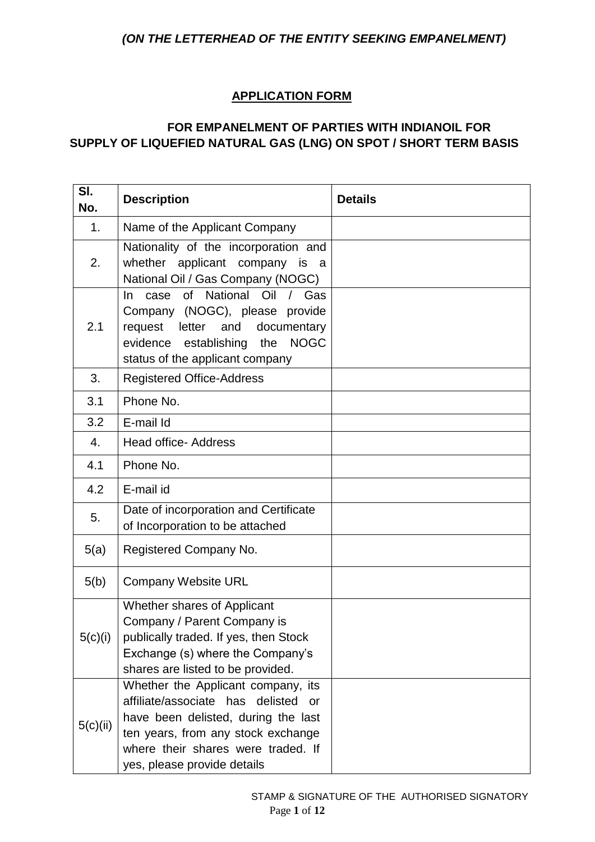# **APPLICATION FORM**

### **FOR EMPANELMENT OF PARTIES WITH INDIANOIL FOR SUPPLY OF LIQUEFIED NATURAL GAS (LNG) ON SPOT / SHORT TERM BASIS**

| SI.<br>No. | <b>Description</b>                                                                                                                                                                                                                    | <b>Details</b> |
|------------|---------------------------------------------------------------------------------------------------------------------------------------------------------------------------------------------------------------------------------------|----------------|
| 1.         | Name of the Applicant Company                                                                                                                                                                                                         |                |
| 2.         | Nationality of the incorporation and<br>whether applicant company is a<br>National Oil / Gas Company (NOGC)                                                                                                                           |                |
| 2.1        | National Oil<br>of<br>$\frac{1}{2}$<br>Gas<br>case<br>In.<br>Company (NOGC), please provide<br>request letter and<br>documentary<br><b>NOGC</b><br>evidence establishing<br>the<br>status of the applicant company                    |                |
| 3.         | <b>Registered Office-Address</b>                                                                                                                                                                                                      |                |
| 3.1        | Phone No.                                                                                                                                                                                                                             |                |
| 3.2        | E-mail Id                                                                                                                                                                                                                             |                |
| 4.         | <b>Head office- Address</b>                                                                                                                                                                                                           |                |
| 4.1        | Phone No.                                                                                                                                                                                                                             |                |
| 4.2        | E-mail id                                                                                                                                                                                                                             |                |
| 5.         | Date of incorporation and Certificate<br>of Incorporation to be attached                                                                                                                                                              |                |
| 5(a)       | Registered Company No.                                                                                                                                                                                                                |                |
| 5(b)       | <b>Company Website URL</b>                                                                                                                                                                                                            |                |
| 5(c)(i)    | Whether shares of Applicant<br>Company / Parent Company is<br>publically traded. If yes, then Stock<br>Exchange (s) where the Company's<br>shares are listed to be provided.                                                          |                |
| 5(c)(ii)   | Whether the Applicant company, its<br>affiliate/associate has delisted<br><b>or</b><br>have been delisted, during the last<br>ten years, from any stock exchange<br>where their shares were traded. If<br>yes, please provide details |                |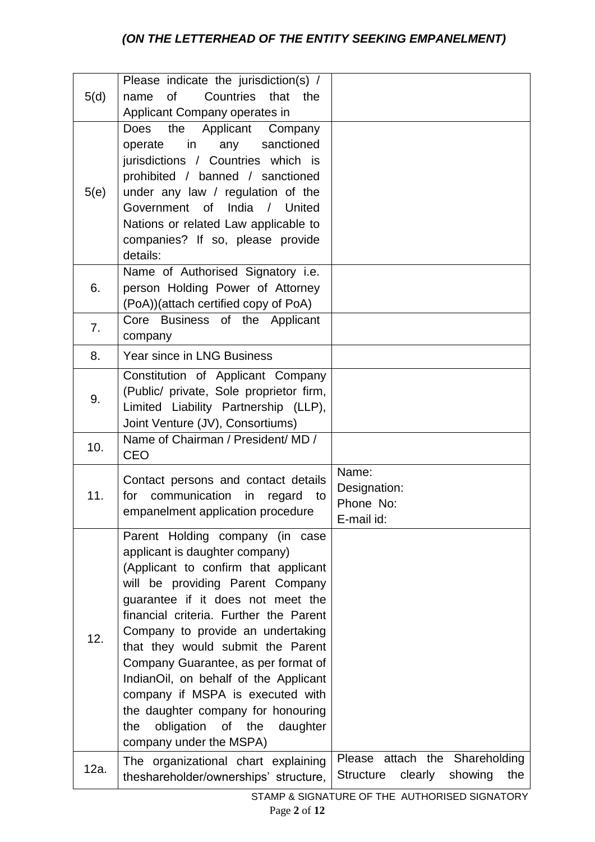| 5(d) | Please indicate the jurisdiction(s) /<br>of<br>Countries that the<br>name                                                                                                                                                                                                                                                                                                                                                                                                                                                           |                                                                          |
|------|-------------------------------------------------------------------------------------------------------------------------------------------------------------------------------------------------------------------------------------------------------------------------------------------------------------------------------------------------------------------------------------------------------------------------------------------------------------------------------------------------------------------------------------|--------------------------------------------------------------------------|
|      | Applicant Company operates in                                                                                                                                                                                                                                                                                                                                                                                                                                                                                                       |                                                                          |
| 5(e) | the<br>Applicant Company<br><b>Does</b><br>operate in any sanctioned<br>jurisdictions / Countries which is<br>prohibited / banned / sanctioned<br>under any law / regulation of the<br>Government of India / United<br>Nations or related Law applicable to<br>companies? If so, please provide<br>details:                                                                                                                                                                                                                         |                                                                          |
| 6.   | Name of Authorised Signatory i.e.<br>person Holding Power of Attorney<br>(PoA))(attach certified copy of PoA)                                                                                                                                                                                                                                                                                                                                                                                                                       |                                                                          |
| 7.   | Core Business of the Applicant<br>company                                                                                                                                                                                                                                                                                                                                                                                                                                                                                           |                                                                          |
| 8.   | <b>Year since in LNG Business</b>                                                                                                                                                                                                                                                                                                                                                                                                                                                                                                   |                                                                          |
| 9.   | Constitution of Applicant Company<br>(Public/ private, Sole proprietor firm,<br>Limited Liability Partnership (LLP),<br>Joint Venture (JV), Consortiums)                                                                                                                                                                                                                                                                                                                                                                            |                                                                          |
| 10.  | Name of Chairman / President/ MD /<br><b>CEO</b>                                                                                                                                                                                                                                                                                                                                                                                                                                                                                    |                                                                          |
| 11.  | Contact persons and contact details<br>communication<br>in<br>for<br>regard<br>to<br>empanelment application procedure                                                                                                                                                                                                                                                                                                                                                                                                              | Name:<br>Designation:<br>Phone No:<br>E-mail id:                         |
| 12.  | Parent Holding company (in case<br>applicant is daughter company)<br>(Applicant to confirm that applicant<br>will be providing Parent Company<br>guarantee if it does not meet the<br>financial criteria. Further the Parent<br>Company to provide an undertaking<br>that they would submit the Parent<br>Company Guarantee, as per format of<br>IndianOil, on behalf of the Applicant<br>company if MSPA is executed with<br>the daughter company for honouring<br>obligation of the<br>daughter<br>the<br>company under the MSPA) |                                                                          |
| 12a. | The organizational chart explaining<br>theshareholder/ownerships' structure,                                                                                                                                                                                                                                                                                                                                                                                                                                                        | Please attach the Shareholding<br>Structure<br>clearly<br>showing<br>the |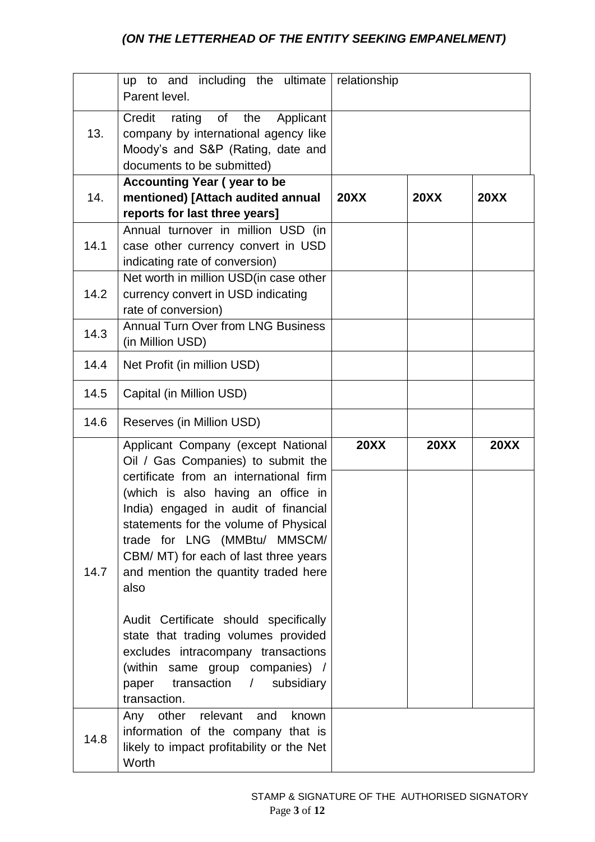|      | including the ultimate<br>up to and<br>Parent level.                                                                                                                                                                                                                                                                                                                                                                                                                                                                                                                                            | relationship |             |             |
|------|-------------------------------------------------------------------------------------------------------------------------------------------------------------------------------------------------------------------------------------------------------------------------------------------------------------------------------------------------------------------------------------------------------------------------------------------------------------------------------------------------------------------------------------------------------------------------------------------------|--------------|-------------|-------------|
| 13.  | rating of<br>Credit<br>the<br>Applicant<br>company by international agency like<br>Moody's and S&P (Rating, date and<br>documents to be submitted)                                                                                                                                                                                                                                                                                                                                                                                                                                              |              |             |             |
| 14.  | <b>Accounting Year (year to be</b><br>mentioned) [Attach audited annual<br>reports for last three years]                                                                                                                                                                                                                                                                                                                                                                                                                                                                                        | <b>20XX</b>  | <b>20XX</b> | <b>20XX</b> |
| 14.1 | Annual turnover in million USD (in<br>case other currency convert in USD<br>indicating rate of conversion)                                                                                                                                                                                                                                                                                                                                                                                                                                                                                      |              |             |             |
| 14.2 | Net worth in million USD(in case other<br>currency convert in USD indicating<br>rate of conversion)                                                                                                                                                                                                                                                                                                                                                                                                                                                                                             |              |             |             |
| 14.3 | <b>Annual Turn Over from LNG Business</b><br>(in Million USD)                                                                                                                                                                                                                                                                                                                                                                                                                                                                                                                                   |              |             |             |
| 14.4 | Net Profit (in million USD)                                                                                                                                                                                                                                                                                                                                                                                                                                                                                                                                                                     |              |             |             |
| 14.5 | Capital (in Million USD)                                                                                                                                                                                                                                                                                                                                                                                                                                                                                                                                                                        |              |             |             |
| 14.6 | Reserves (in Million USD)                                                                                                                                                                                                                                                                                                                                                                                                                                                                                                                                                                       |              |             |             |
| 14.7 | Applicant Company (except National<br>Oil / Gas Companies) to submit the<br>certificate from an international firm<br>(which is also having an office in<br>India) engaged in audit of financial<br>statements for the volume of Physical<br>trade for LNG (MMBtu/ MMSCM/<br>CBM/ MT) for each of last three years<br>and mention the quantity traded here<br>also<br>Audit Certificate should specifically<br>state that trading volumes provided<br>excludes intracompany transactions<br>(within same group companies) /<br>transaction<br>subsidiary<br>paper<br>$\sqrt{2}$<br>transaction. | <b>20XX</b>  | <b>20XX</b> | <b>20XX</b> |
| 14.8 | Any other relevant and<br>known<br>information of the company that is<br>likely to impact profitability or the Net<br>Worth                                                                                                                                                                                                                                                                                                                                                                                                                                                                     |              |             |             |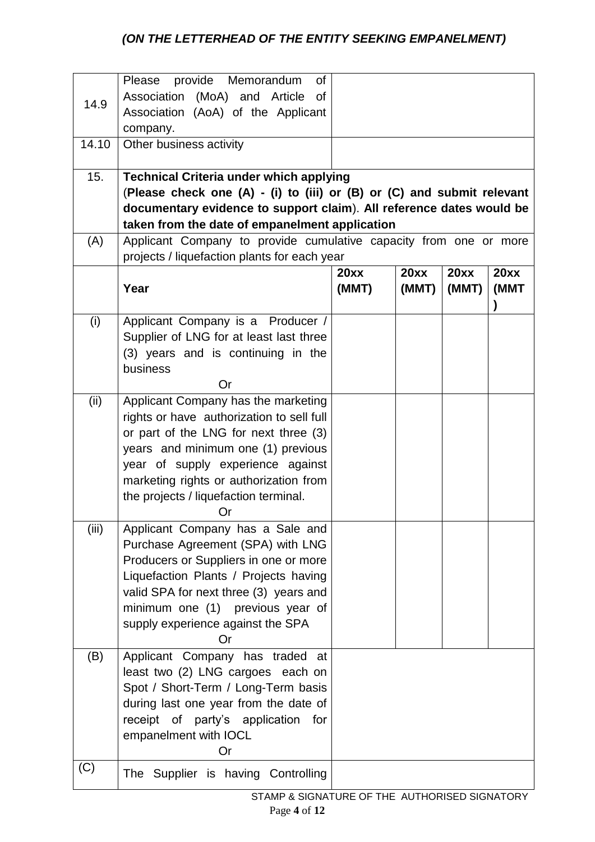|       | provide Memorandum<br>Please<br>0f                                                                                       |       |       |       |      |
|-------|--------------------------------------------------------------------------------------------------------------------------|-------|-------|-------|------|
| 14.9  | Association (MoA) and Article<br><b>of</b>                                                                               |       |       |       |      |
|       | Association (AoA) of the Applicant                                                                                       |       |       |       |      |
|       | company.                                                                                                                 |       |       |       |      |
| 14.10 | Other business activity                                                                                                  |       |       |       |      |
|       |                                                                                                                          |       |       |       |      |
| 15.   | <b>Technical Criteria under which applying</b><br>(Please check one (A) - (i) to (iii) or (B) or (C) and submit relevant |       |       |       |      |
|       | documentary evidence to support claim). All reference dates would be                                                     |       |       |       |      |
|       | taken from the date of empanelment application                                                                           |       |       |       |      |
| (A)   | Applicant Company to provide cumulative capacity from one or more                                                        |       |       |       |      |
|       | projects / liquefaction plants for each year                                                                             |       |       |       |      |
|       |                                                                                                                          | 20xx  | 20xx  | 20xx  | 20xx |
|       | Year                                                                                                                     | (MMT) | (MMT) | (MMT) | (MMT |
|       |                                                                                                                          |       |       |       |      |
| (i)   | Applicant Company is a Producer /                                                                                        |       |       |       |      |
|       | Supplier of LNG for at least last three                                                                                  |       |       |       |      |
|       | (3) years and is continuing in the                                                                                       |       |       |       |      |
|       | business                                                                                                                 |       |       |       |      |
|       | Or                                                                                                                       |       |       |       |      |
| (ii)  | Applicant Company has the marketing                                                                                      |       |       |       |      |
|       | rights or have authorization to sell full                                                                                |       |       |       |      |
|       | or part of the LNG for next three (3)                                                                                    |       |       |       |      |
|       | years and minimum one (1) previous                                                                                       |       |       |       |      |
|       | year of supply experience against                                                                                        |       |       |       |      |
|       | marketing rights or authorization from                                                                                   |       |       |       |      |
|       | the projects / liquefaction terminal.<br>Or                                                                              |       |       |       |      |
| (iii) | Applicant Company has a Sale and                                                                                         |       |       |       |      |
|       | Purchase Agreement (SPA) with LNG                                                                                        |       |       |       |      |
|       | Producers or Suppliers in one or more                                                                                    |       |       |       |      |
|       | Liquefaction Plants / Projects having                                                                                    |       |       |       |      |
|       | valid SPA for next three (3) years and                                                                                   |       |       |       |      |
|       | minimum one (1) previous year of                                                                                         |       |       |       |      |
|       | supply experience against the SPA                                                                                        |       |       |       |      |
|       | Or                                                                                                                       |       |       |       |      |
| (B)   | Applicant Company has traded<br>at                                                                                       |       |       |       |      |
|       | least two (2) LNG cargoes each on                                                                                        |       |       |       |      |
|       | Spot / Short-Term / Long-Term basis                                                                                      |       |       |       |      |
|       | during last one year from the date of                                                                                    |       |       |       |      |
|       | receipt of party's application<br>for                                                                                    |       |       |       |      |
|       | empanelment with IOCL<br>Or                                                                                              |       |       |       |      |
| (C)   |                                                                                                                          |       |       |       |      |
|       | The Supplier is having Controlling                                                                                       |       |       |       |      |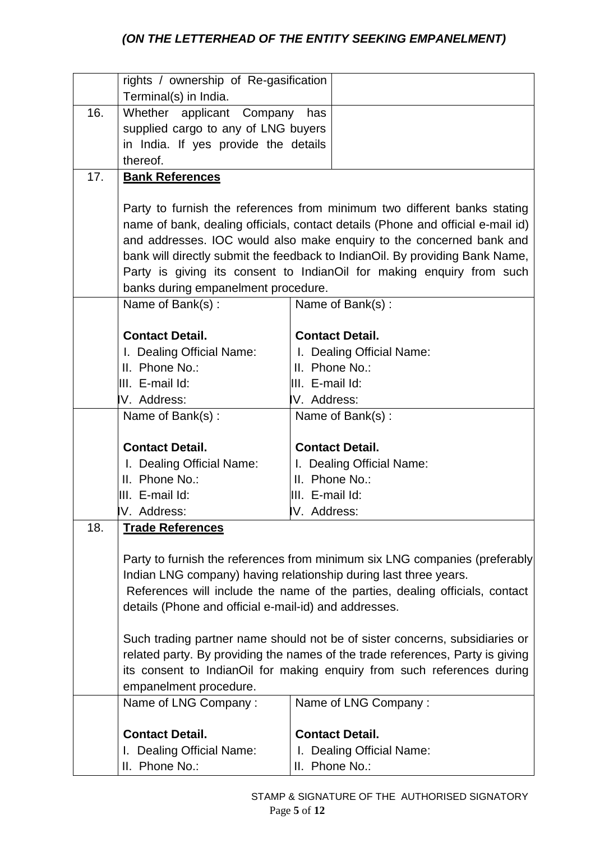|     | rights / ownership of Re-gasification                   |                                                                                 |  |
|-----|---------------------------------------------------------|---------------------------------------------------------------------------------|--|
|     | Terminal(s) in India.                                   |                                                                                 |  |
| 16. | Whether applicant Company<br>has                        |                                                                                 |  |
|     | supplied cargo to any of LNG buyers                     |                                                                                 |  |
|     | in India. If yes provide the details                    |                                                                                 |  |
|     | thereof.                                                |                                                                                 |  |
| 17. | <b>Bank References</b>                                  |                                                                                 |  |
|     |                                                         |                                                                                 |  |
|     |                                                         | Party to furnish the references from minimum two different banks stating        |  |
|     |                                                         | name of bank, dealing officials, contact details (Phone and official e-mail id) |  |
|     |                                                         | and addresses. IOC would also make enquiry to the concerned bank and            |  |
|     |                                                         | bank will directly submit the feedback to IndianOil. By providing Bank Name,    |  |
|     |                                                         | Party is giving its consent to IndianOil for making enquiry from such           |  |
|     | banks during empanelment procedure.<br>Name of Bank(s): | Name of Bank(s):                                                                |  |
|     |                                                         |                                                                                 |  |
|     | <b>Contact Detail.</b>                                  | <b>Contact Detail.</b>                                                          |  |
|     | I. Dealing Official Name:                               | I. Dealing Official Name:                                                       |  |
|     | II. Phone No.:                                          | II. Phone No.:                                                                  |  |
|     | III. E-mail Id:                                         | IIII. E-mail Id:                                                                |  |
|     | V. Address:                                             | IV. Address:                                                                    |  |
|     | Name of Bank(s):                                        | Name of Bank(s):                                                                |  |
|     |                                                         |                                                                                 |  |
|     | <b>Contact Detail.</b>                                  | <b>Contact Detail.</b>                                                          |  |
|     | I. Dealing Official Name:                               | I. Dealing Official Name:                                                       |  |
|     | II. Phone No.:                                          | II. Phone No.:                                                                  |  |
|     | III. E-mail Id:                                         | III. E-mail Id:                                                                 |  |
|     | V. Address:                                             | IV. Address:                                                                    |  |
| 18. | <b>Trade References</b>                                 |                                                                                 |  |
|     |                                                         |                                                                                 |  |
|     |                                                         | Party to furnish the references from minimum six LNG companies (preferably      |  |
|     |                                                         | Indian LNG company) having relationship during last three years.                |  |
|     |                                                         | References will include the name of the parties, dealing officials, contact     |  |
|     | details (Phone and official e-mail-id) and addresses.   |                                                                                 |  |
|     |                                                         | Such trading partner name should not be of sister concerns, subsidiaries or     |  |
|     |                                                         | related party. By providing the names of the trade references, Party is giving  |  |
|     |                                                         | its consent to IndianOil for making enquiry from such references during         |  |
|     | empanelment procedure.                                  |                                                                                 |  |
|     | Name of LNG Company:                                    | Name of LNG Company:                                                            |  |
|     |                                                         |                                                                                 |  |
|     | <b>Contact Detail.</b>                                  | <b>Contact Detail.</b>                                                          |  |
|     | I. Dealing Official Name:                               | I. Dealing Official Name:                                                       |  |
|     | II. Phone No.:                                          | II. Phone No.:                                                                  |  |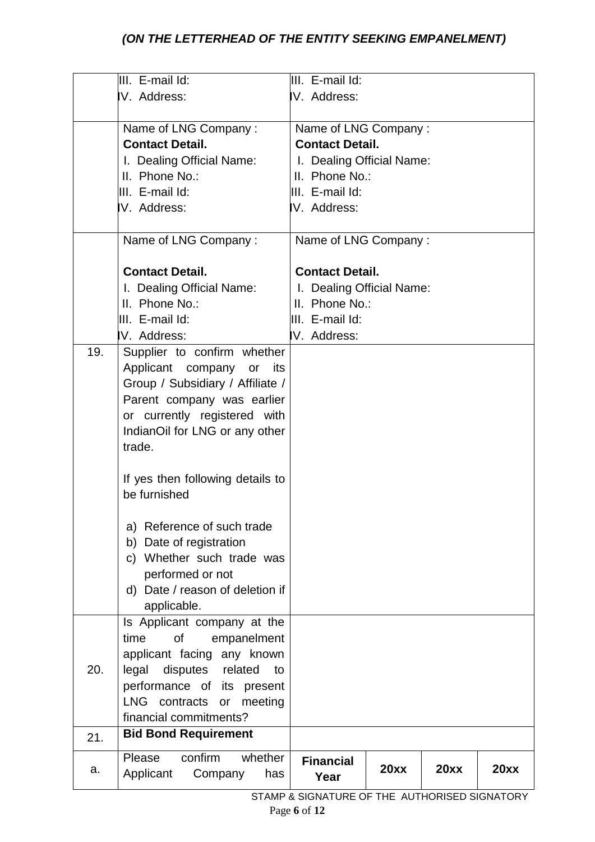| V. Address:<br>IV. Address:<br>Name of LNG Company:<br>Name of LNG Company:<br><b>Contact Detail.</b><br><b>Contact Detail.</b><br>I. Dealing Official Name:<br>I. Dealing Official Name:<br>II. Phone No.:<br>II. Phone No.:<br>III. E-mail Id:<br>III. E-mail Id:<br>V. Address:<br>IV. Address:<br>Name of LNG Company:<br>Name of LNG Company:<br><b>Contact Detail.</b><br><b>Contact Detail.</b><br>I. Dealing Official Name:<br>I. Dealing Official Name:<br>II. Phone No.:<br>II. Phone No.:<br>III. E-mail Id:<br>III. E-mail Id:<br>V. Address:<br>IV. Address:<br>19.<br>Supplier to confirm whether<br>Applicant company<br>or<br>its<br>Group / Subsidiary / Affiliate /<br>Parent company was earlier<br>or currently registered with<br>IndianOil for LNG or any other<br>trade.<br>If yes then following details to<br>be furnished<br>a) Reference of such trade<br>b) Date of registration<br>c) Whether such trade was<br>performed or not<br>d) Date / reason of deletion if<br>applicable.<br>Is Applicant company at the<br>time<br>of<br>empanelment<br>applicant facing any known<br>20.<br>legal<br>disputes<br>related<br>to<br>performance of its present<br><b>LNG</b><br>contracts<br>or<br>meeting<br>financial commitments?<br><b>Bid Bond Requirement</b><br>21.<br>confirm<br>Please<br>whether | III. E-mail Id: | III. E-mail Id:  |  |  |
|----------------------------------------------------------------------------------------------------------------------------------------------------------------------------------------------------------------------------------------------------------------------------------------------------------------------------------------------------------------------------------------------------------------------------------------------------------------------------------------------------------------------------------------------------------------------------------------------------------------------------------------------------------------------------------------------------------------------------------------------------------------------------------------------------------------------------------------------------------------------------------------------------------------------------------------------------------------------------------------------------------------------------------------------------------------------------------------------------------------------------------------------------------------------------------------------------------------------------------------------------------------------------------------------------------------------------------|-----------------|------------------|--|--|
|                                                                                                                                                                                                                                                                                                                                                                                                                                                                                                                                                                                                                                                                                                                                                                                                                                                                                                                                                                                                                                                                                                                                                                                                                                                                                                                                  |                 |                  |  |  |
|                                                                                                                                                                                                                                                                                                                                                                                                                                                                                                                                                                                                                                                                                                                                                                                                                                                                                                                                                                                                                                                                                                                                                                                                                                                                                                                                  |                 |                  |  |  |
|                                                                                                                                                                                                                                                                                                                                                                                                                                                                                                                                                                                                                                                                                                                                                                                                                                                                                                                                                                                                                                                                                                                                                                                                                                                                                                                                  |                 |                  |  |  |
|                                                                                                                                                                                                                                                                                                                                                                                                                                                                                                                                                                                                                                                                                                                                                                                                                                                                                                                                                                                                                                                                                                                                                                                                                                                                                                                                  |                 |                  |  |  |
|                                                                                                                                                                                                                                                                                                                                                                                                                                                                                                                                                                                                                                                                                                                                                                                                                                                                                                                                                                                                                                                                                                                                                                                                                                                                                                                                  |                 |                  |  |  |
|                                                                                                                                                                                                                                                                                                                                                                                                                                                                                                                                                                                                                                                                                                                                                                                                                                                                                                                                                                                                                                                                                                                                                                                                                                                                                                                                  |                 |                  |  |  |
|                                                                                                                                                                                                                                                                                                                                                                                                                                                                                                                                                                                                                                                                                                                                                                                                                                                                                                                                                                                                                                                                                                                                                                                                                                                                                                                                  |                 |                  |  |  |
|                                                                                                                                                                                                                                                                                                                                                                                                                                                                                                                                                                                                                                                                                                                                                                                                                                                                                                                                                                                                                                                                                                                                                                                                                                                                                                                                  |                 |                  |  |  |
|                                                                                                                                                                                                                                                                                                                                                                                                                                                                                                                                                                                                                                                                                                                                                                                                                                                                                                                                                                                                                                                                                                                                                                                                                                                                                                                                  |                 |                  |  |  |
|                                                                                                                                                                                                                                                                                                                                                                                                                                                                                                                                                                                                                                                                                                                                                                                                                                                                                                                                                                                                                                                                                                                                                                                                                                                                                                                                  |                 |                  |  |  |
|                                                                                                                                                                                                                                                                                                                                                                                                                                                                                                                                                                                                                                                                                                                                                                                                                                                                                                                                                                                                                                                                                                                                                                                                                                                                                                                                  |                 |                  |  |  |
|                                                                                                                                                                                                                                                                                                                                                                                                                                                                                                                                                                                                                                                                                                                                                                                                                                                                                                                                                                                                                                                                                                                                                                                                                                                                                                                                  |                 |                  |  |  |
|                                                                                                                                                                                                                                                                                                                                                                                                                                                                                                                                                                                                                                                                                                                                                                                                                                                                                                                                                                                                                                                                                                                                                                                                                                                                                                                                  |                 |                  |  |  |
|                                                                                                                                                                                                                                                                                                                                                                                                                                                                                                                                                                                                                                                                                                                                                                                                                                                                                                                                                                                                                                                                                                                                                                                                                                                                                                                                  |                 |                  |  |  |
|                                                                                                                                                                                                                                                                                                                                                                                                                                                                                                                                                                                                                                                                                                                                                                                                                                                                                                                                                                                                                                                                                                                                                                                                                                                                                                                                  |                 |                  |  |  |
|                                                                                                                                                                                                                                                                                                                                                                                                                                                                                                                                                                                                                                                                                                                                                                                                                                                                                                                                                                                                                                                                                                                                                                                                                                                                                                                                  |                 |                  |  |  |
|                                                                                                                                                                                                                                                                                                                                                                                                                                                                                                                                                                                                                                                                                                                                                                                                                                                                                                                                                                                                                                                                                                                                                                                                                                                                                                                                  |                 |                  |  |  |
|                                                                                                                                                                                                                                                                                                                                                                                                                                                                                                                                                                                                                                                                                                                                                                                                                                                                                                                                                                                                                                                                                                                                                                                                                                                                                                                                  |                 |                  |  |  |
|                                                                                                                                                                                                                                                                                                                                                                                                                                                                                                                                                                                                                                                                                                                                                                                                                                                                                                                                                                                                                                                                                                                                                                                                                                                                                                                                  |                 |                  |  |  |
|                                                                                                                                                                                                                                                                                                                                                                                                                                                                                                                                                                                                                                                                                                                                                                                                                                                                                                                                                                                                                                                                                                                                                                                                                                                                                                                                  |                 |                  |  |  |
|                                                                                                                                                                                                                                                                                                                                                                                                                                                                                                                                                                                                                                                                                                                                                                                                                                                                                                                                                                                                                                                                                                                                                                                                                                                                                                                                  |                 |                  |  |  |
|                                                                                                                                                                                                                                                                                                                                                                                                                                                                                                                                                                                                                                                                                                                                                                                                                                                                                                                                                                                                                                                                                                                                                                                                                                                                                                                                  |                 |                  |  |  |
|                                                                                                                                                                                                                                                                                                                                                                                                                                                                                                                                                                                                                                                                                                                                                                                                                                                                                                                                                                                                                                                                                                                                                                                                                                                                                                                                  |                 |                  |  |  |
|                                                                                                                                                                                                                                                                                                                                                                                                                                                                                                                                                                                                                                                                                                                                                                                                                                                                                                                                                                                                                                                                                                                                                                                                                                                                                                                                  |                 |                  |  |  |
|                                                                                                                                                                                                                                                                                                                                                                                                                                                                                                                                                                                                                                                                                                                                                                                                                                                                                                                                                                                                                                                                                                                                                                                                                                                                                                                                  |                 |                  |  |  |
|                                                                                                                                                                                                                                                                                                                                                                                                                                                                                                                                                                                                                                                                                                                                                                                                                                                                                                                                                                                                                                                                                                                                                                                                                                                                                                                                  |                 |                  |  |  |
|                                                                                                                                                                                                                                                                                                                                                                                                                                                                                                                                                                                                                                                                                                                                                                                                                                                                                                                                                                                                                                                                                                                                                                                                                                                                                                                                  |                 |                  |  |  |
|                                                                                                                                                                                                                                                                                                                                                                                                                                                                                                                                                                                                                                                                                                                                                                                                                                                                                                                                                                                                                                                                                                                                                                                                                                                                                                                                  |                 |                  |  |  |
|                                                                                                                                                                                                                                                                                                                                                                                                                                                                                                                                                                                                                                                                                                                                                                                                                                                                                                                                                                                                                                                                                                                                                                                                                                                                                                                                  |                 |                  |  |  |
|                                                                                                                                                                                                                                                                                                                                                                                                                                                                                                                                                                                                                                                                                                                                                                                                                                                                                                                                                                                                                                                                                                                                                                                                                                                                                                                                  |                 |                  |  |  |
|                                                                                                                                                                                                                                                                                                                                                                                                                                                                                                                                                                                                                                                                                                                                                                                                                                                                                                                                                                                                                                                                                                                                                                                                                                                                                                                                  |                 |                  |  |  |
|                                                                                                                                                                                                                                                                                                                                                                                                                                                                                                                                                                                                                                                                                                                                                                                                                                                                                                                                                                                                                                                                                                                                                                                                                                                                                                                                  |                 |                  |  |  |
|                                                                                                                                                                                                                                                                                                                                                                                                                                                                                                                                                                                                                                                                                                                                                                                                                                                                                                                                                                                                                                                                                                                                                                                                                                                                                                                                  |                 |                  |  |  |
|                                                                                                                                                                                                                                                                                                                                                                                                                                                                                                                                                                                                                                                                                                                                                                                                                                                                                                                                                                                                                                                                                                                                                                                                                                                                                                                                  |                 |                  |  |  |
|                                                                                                                                                                                                                                                                                                                                                                                                                                                                                                                                                                                                                                                                                                                                                                                                                                                                                                                                                                                                                                                                                                                                                                                                                                                                                                                                  |                 |                  |  |  |
|                                                                                                                                                                                                                                                                                                                                                                                                                                                                                                                                                                                                                                                                                                                                                                                                                                                                                                                                                                                                                                                                                                                                                                                                                                                                                                                                  |                 |                  |  |  |
|                                                                                                                                                                                                                                                                                                                                                                                                                                                                                                                                                                                                                                                                                                                                                                                                                                                                                                                                                                                                                                                                                                                                                                                                                                                                                                                                  |                 |                  |  |  |
| 20xx<br>20xx<br>20xx                                                                                                                                                                                                                                                                                                                                                                                                                                                                                                                                                                                                                                                                                                                                                                                                                                                                                                                                                                                                                                                                                                                                                                                                                                                                                                             |                 | <b>Financial</b> |  |  |
| a.<br>Applicant<br>Company<br>has<br>Year                                                                                                                                                                                                                                                                                                                                                                                                                                                                                                                                                                                                                                                                                                                                                                                                                                                                                                                                                                                                                                                                                                                                                                                                                                                                                        |                 |                  |  |  |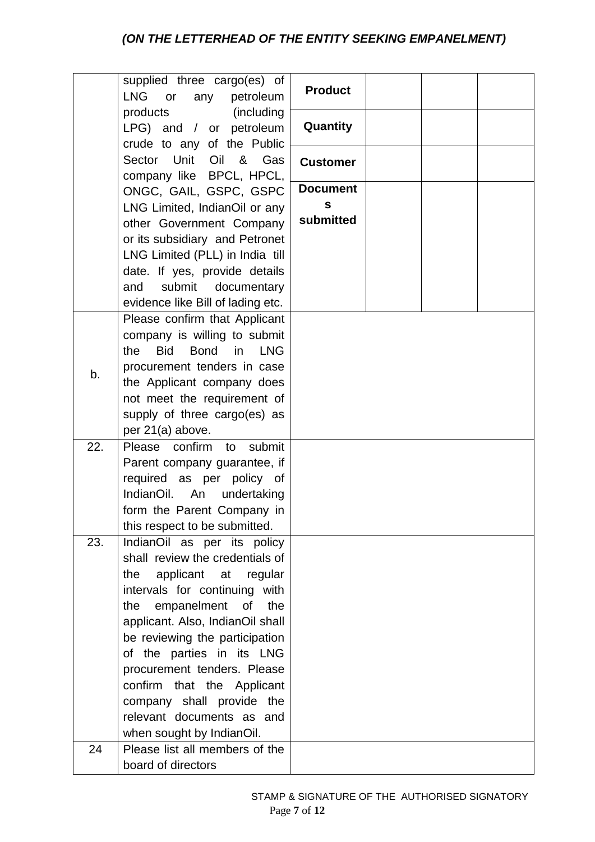|     | supplied three cargo(es) of<br><b>LNG</b><br>petroleum<br>or<br>any             | <b>Product</b>  |  |  |
|-----|---------------------------------------------------------------------------------|-----------------|--|--|
|     | (including<br>products<br>LPG) and / or petroleum<br>crude to any of the Public | Quantity        |  |  |
|     | Unit<br>Sector<br>Oil<br>& Gas<br>company like BPCL, HPCL,                      | <b>Customer</b> |  |  |
|     | ONGC, GAIL, GSPC, GSPC                                                          | <b>Document</b> |  |  |
|     | LNG Limited, IndianOil or any                                                   | $\mathbf{s}$    |  |  |
|     | other Government Company                                                        | submitted       |  |  |
|     | or its subsidiary and Petronet                                                  |                 |  |  |
|     | LNG Limited (PLL) in India till                                                 |                 |  |  |
|     | date. If yes, provide details<br>submit<br>documentary<br>and                   |                 |  |  |
|     | evidence like Bill of lading etc.                                               |                 |  |  |
|     | Please confirm that Applicant                                                   |                 |  |  |
|     | company is willing to submit                                                    |                 |  |  |
|     | <b>Bid</b><br><b>Bond</b><br>in LNG<br>the                                      |                 |  |  |
| b.  | procurement tenders in case                                                     |                 |  |  |
|     | the Applicant company does                                                      |                 |  |  |
|     | not meet the requirement of                                                     |                 |  |  |
|     | supply of three cargo(es) as                                                    |                 |  |  |
| 22. | per 21(a) above.<br>Please confirm to<br>submit                                 |                 |  |  |
|     | Parent company guarantee, if                                                    |                 |  |  |
|     | required as per policy of                                                       |                 |  |  |
|     | IndianOil. An<br>undertaking                                                    |                 |  |  |
|     | form the Parent Company in                                                      |                 |  |  |
|     | this respect to be submitted.                                                   |                 |  |  |
| 23. | IndianOil as per its policy                                                     |                 |  |  |
|     | shall review the credentials of                                                 |                 |  |  |
|     | the<br>applicant at regular                                                     |                 |  |  |
|     | intervals for continuing with<br>empanelment<br>0f<br>the<br>the                |                 |  |  |
|     | applicant. Also, IndianOil shall                                                |                 |  |  |
|     | be reviewing the participation                                                  |                 |  |  |
|     | of the parties in its LNG                                                       |                 |  |  |
|     | procurement tenders. Please                                                     |                 |  |  |
|     | confirm that the Applicant                                                      |                 |  |  |
|     | company shall provide the                                                       |                 |  |  |
|     | relevant documents as and                                                       |                 |  |  |
|     | when sought by IndianOil.                                                       |                 |  |  |
| 24  | Please list all members of the                                                  |                 |  |  |
|     | board of directors                                                              |                 |  |  |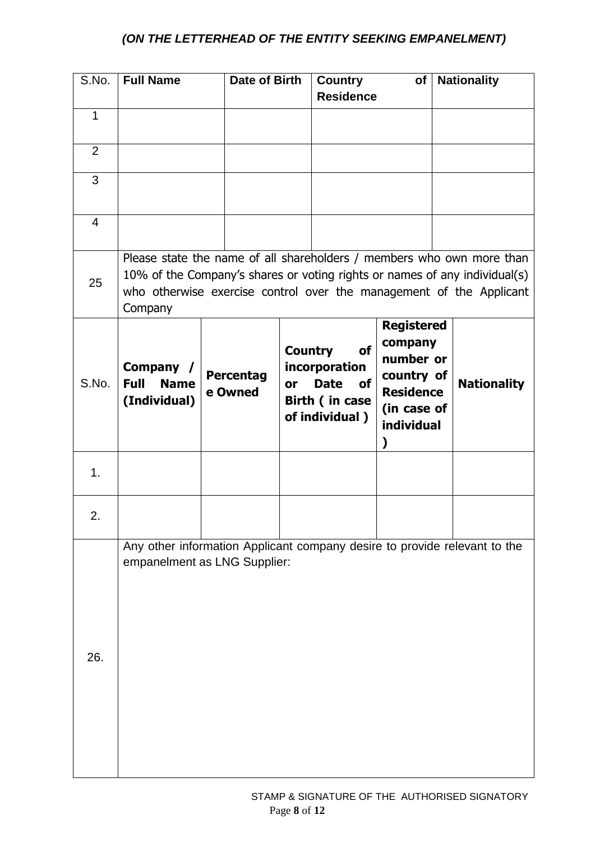| S.No.          | <b>Full Name</b>                                        |                             | Date of Birth        | <b>Country</b><br><b>Residence</b>                                                         | of                                                                                                            | <b>Nationality</b>                                                                                                                                                                                                         |
|----------------|---------------------------------------------------------|-----------------------------|----------------------|--------------------------------------------------------------------------------------------|---------------------------------------------------------------------------------------------------------------|----------------------------------------------------------------------------------------------------------------------------------------------------------------------------------------------------------------------------|
| $\mathbf{1}$   |                                                         |                             |                      |                                                                                            |                                                                                                               |                                                                                                                                                                                                                            |
| $\overline{2}$ |                                                         |                             |                      |                                                                                            |                                                                                                               |                                                                                                                                                                                                                            |
| 3              |                                                         |                             |                      |                                                                                            |                                                                                                               |                                                                                                                                                                                                                            |
| 4              |                                                         |                             |                      |                                                                                            |                                                                                                               |                                                                                                                                                                                                                            |
| 25             | Company                                                 |                             |                      |                                                                                            |                                                                                                               | Please state the name of all shareholders / members who own more than<br>10% of the Company's shares or voting rights or names of any individual(s)<br>who otherwise exercise control over the management of the Applicant |
| S.No.          | Company /<br><b>Full</b><br><b>Name</b><br>(Individual) | <b>Percentag</b><br>e Owned | <b>Country</b><br>or | <b>of</b><br>incorporation<br><b>Date</b><br><b>of</b><br>Birth (in case<br>of individual) | <b>Registered</b><br>company<br>number or<br>country of<br><b>Residence</b><br>(in case of<br>individual<br>) | <b>Nationality</b>                                                                                                                                                                                                         |
| 1.             |                                                         |                             |                      |                                                                                            |                                                                                                               |                                                                                                                                                                                                                            |
| 2.             |                                                         |                             |                      |                                                                                            |                                                                                                               |                                                                                                                                                                                                                            |
| 26.            | empanelment as LNG Supplier:                            |                             |                      |                                                                                            |                                                                                                               | Any other information Applicant company desire to provide relevant to the                                                                                                                                                  |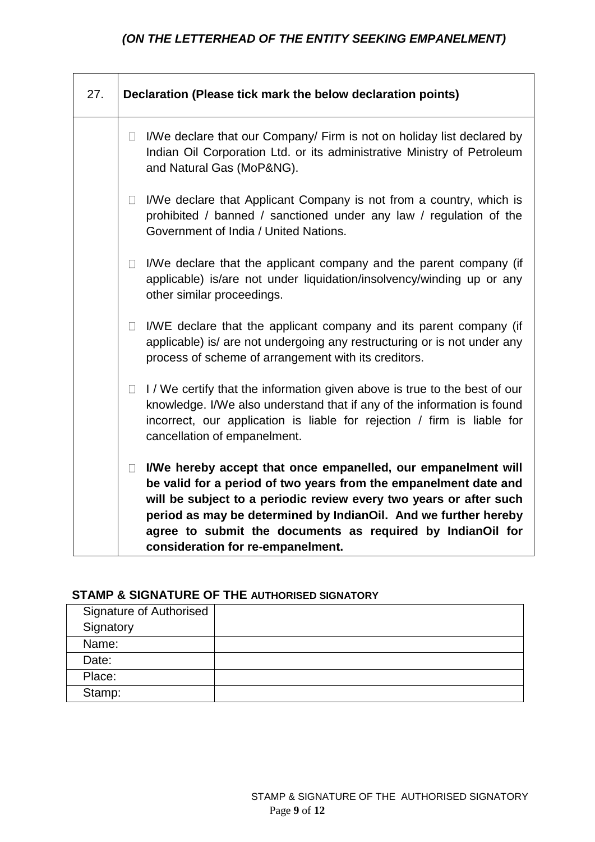| 27. |        | Declaration (Please tick mark the below declaration points)                                                                                                                                                                                                                                                                                                                   |
|-----|--------|-------------------------------------------------------------------------------------------------------------------------------------------------------------------------------------------------------------------------------------------------------------------------------------------------------------------------------------------------------------------------------|
|     | $\Box$ | I/We declare that our Company/ Firm is not on holiday list declared by<br>Indian Oil Corporation Ltd. or its administrative Ministry of Petroleum<br>and Natural Gas (MoP&NG).                                                                                                                                                                                                |
|     | $\Box$ | I/We declare that Applicant Company is not from a country, which is<br>prohibited / banned / sanctioned under any law / regulation of the<br>Government of India / United Nations.                                                                                                                                                                                            |
|     | $\Box$ | I/We declare that the applicant company and the parent company (if<br>applicable) is/are not under liquidation/insolvency/winding up or any<br>other similar proceedings.                                                                                                                                                                                                     |
|     | $\Box$ | I/WE declare that the applicant company and its parent company (if<br>applicable) is/ are not undergoing any restructuring or is not under any<br>process of scheme of arrangement with its creditors.                                                                                                                                                                        |
|     | $\Box$ | I/We certify that the information given above is true to the best of our<br>knowledge. I/We also understand that if any of the information is found<br>incorrect, our application is liable for rejection / firm is liable for<br>cancellation of empanelment.                                                                                                                |
|     | $\Box$ | I/We hereby accept that once empanelled, our empanelment will<br>be valid for a period of two years from the empanelment date and<br>will be subject to a periodic review every two years or after such<br>period as may be determined by IndianOil. And we further hereby<br>agree to submit the documents as required by IndianOil for<br>consideration for re-empanelment. |

### **STAMP & SIGNATURE OF THE AUTHORISED SIGNATORY**

| <b>Signature of Authorised</b> |  |
|--------------------------------|--|
| Signatory                      |  |
| Name:                          |  |
| Date:                          |  |
| Place:                         |  |
| Stamp:                         |  |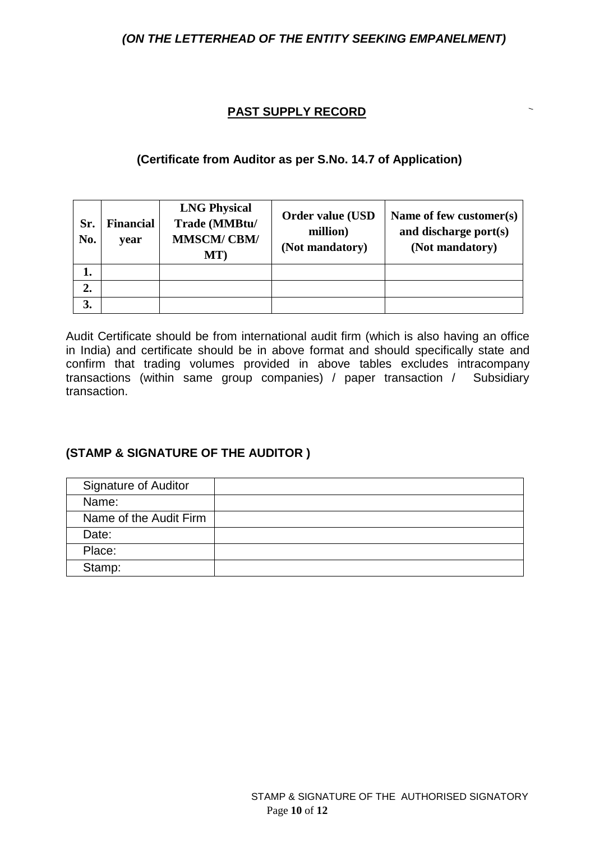#### **PAST SUPPLY RECORD**

#### **(Certificate from Auditor as per S.No. 14.7 of Application)**

| Sr.<br>No. | <b>Financial</b><br>year | <b>LNG Physical</b><br>Trade (MMBtu/<br><b>MMSCM/CBM/</b><br>MT) | <b>Order value (USD</b><br>million)<br>(Not mandatory) | Name of few customer(s)<br>and discharge port(s)<br>(Not mandatory) |
|------------|--------------------------|------------------------------------------------------------------|--------------------------------------------------------|---------------------------------------------------------------------|
| 1.         |                          |                                                                  |                                                        |                                                                     |
| 2.         |                          |                                                                  |                                                        |                                                                     |
| 3.         |                          |                                                                  |                                                        |                                                                     |

Audit Certificate should be from international audit firm (which is also having an office in India) and certificate should be in above format and should specifically state and confirm that trading volumes provided in above tables excludes intracompany transactions (within same group companies) / paper transaction / Subsidiary transaction.

# **(STAMP & SIGNATURE OF THE AUDITOR )**

| <b>Signature of Auditor</b> |  |
|-----------------------------|--|
| Name:                       |  |
| Name of the Audit Firm      |  |
| Date:                       |  |
| Place:                      |  |
| Stamp:                      |  |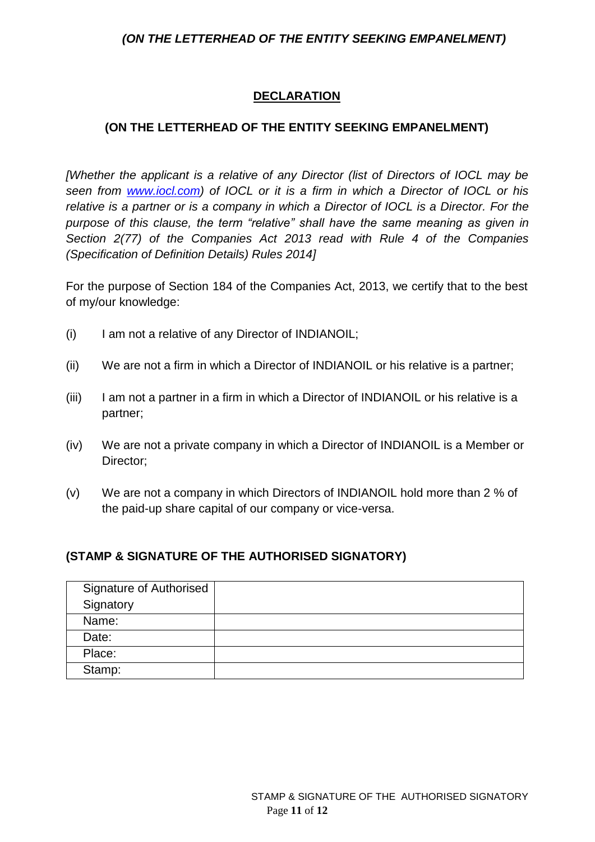## **DECLARATION**

### **(ON THE LETTERHEAD OF THE ENTITY SEEKING EMPANELMENT)**

*[Whether the applicant is a relative of any Director (list of Directors of IOCL may be seen from www.iocl.com) of IOCL or it is a firm in which a Director of IOCL or his relative is a partner or is a company in which a Director of IOCL is a Director. For the purpose of this clause, the term "relative" shall have the same meaning as given in Section 2(77) of the Companies Act 2013 read with Rule 4 of the Companies (Specification of Definition Details) Rules 2014]*

For the purpose of Section 184 of the Companies Act, 2013, we certify that to the best of my/our knowledge:

- (i) I am not a relative of any Director of INDIANOIL;
- (ii) We are not a firm in which a Director of INDIANOIL or his relative is a partner;
- (iii) I am not a partner in a firm in which a Director of INDIANOIL or his relative is a partner;
- (iv) We are not a private company in which a Director of INDIANOIL is a Member or Director;
- (v) We are not a company in which Directors of INDIANOIL hold more than 2 % of the paid-up share capital of our company or vice-versa.

#### **(STAMP & SIGNATURE OF THE AUTHORISED SIGNATORY)**

| Signature of Authorised |  |
|-------------------------|--|
| Signatory               |  |
| Name:                   |  |
| Date:                   |  |
| Place:                  |  |
| Stamp:                  |  |